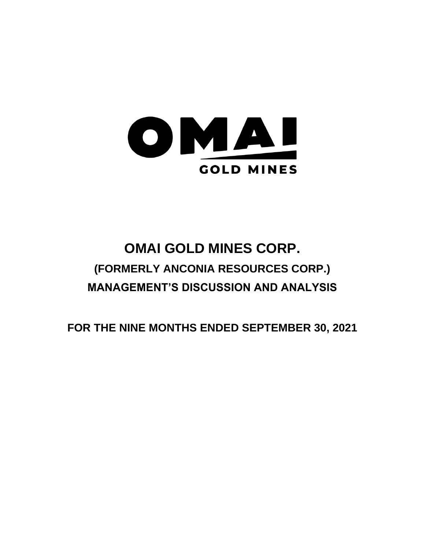

# **OMAI GOLD MINES CORP. (FORMERLY ANCONIA RESOURCES CORP.) MANAGEMENT'S DISCUSSION AND ANALYSIS**

**FOR THE NINE MONTHS ENDED SEPTEMBER 30, 2021**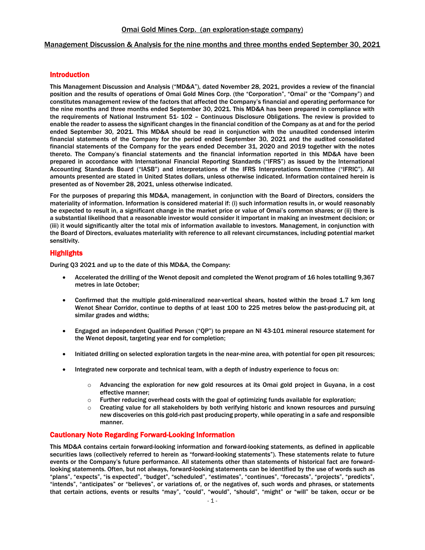## Management Discussion & Analysis for the nine months and three months ended September 30, 2021

# Introduction

This Management Discussion and Analysis ("MD&A"), dated November 28, 2021, provides a review of the financial position and the results of operations of Omai Gold Mines Corp. (the "Corporation", "Omai" or the "Company") and constitutes management review of the factors that affected the Company's financial and operating performance for the nine months and three months ended September 30, 2021. This MD&A has been prepared in compliance with the requirements of National Instrument 51- 102 – Continuous Disclosure Obligations. The review is provided to enable the reader to assess the significant changes in the financial condition of the Company as at and for the period ended September 30, 2021. This MD&A should be read in conjunction with the unaudited condensed interim financial statements of the Company for the period ended September 30, 2021 and the audited consolidated financial statements of the Company for the years ended December 31, 2020 and 2019 together with the notes thereto. The Company's financial statements and the financial information reported in this MD&A have been prepared in accordance with International Financial Reporting Standards ("IFRS") as issued by the International Accounting Standards Board ("IASB") and interpretations of the IFRS Interpretations Committee ("IFRIC"). All amounts presented are stated in United States dollars, unless otherwise indicated. Information contained herein is presented as of November 28, 2021, unless otherwise indicated.

For the purposes of preparing this MD&A, management, in conjunction with the Board of Directors, considers the materiality of information. Information is considered material if: (i) such information results in, or would reasonably be expected to result in, a significant change in the market price or value of Omai's common shares; or (ii) there is a substantial likelihood that a reasonable investor would consider it important in making an investment decision; or (iii) it would significantly alter the total mix of information available to investors. Management, in conjunction with the Board of Directors, evaluates materiality with reference to all relevant circumstances, including potential market sensitivity.

## **Highlights**

During Q3 2021 and up to the date of this MD&A, the Company:

- Accelerated the drilling of the Wenot deposit and completed the Wenot program of 16 holes totalling 9,367 metres in late October;
- Confirmed that the multiple gold-mineralized near-vertical shears, hosted within the broad 1.7 km long Wenot Shear Corridor, continue to depths of at least 100 to 225 metres below the past-producing pit, at similar grades and widths;
- Engaged an independent Qualified Person ("QP") to prepare an NI 43-101 mineral resource statement for the Wenot deposit, targeting year end for completion;
- Initiated drilling on selected exploration targets in the near-mine area, with potential for open pit resources;
- Integrated new corporate and technical team, with a depth of industry experience to focus on:
	- $\circ$  Advancing the exploration for new gold resources at its Omai gold project in Guyana, in a cost effective manner;
	- $\circ$  Further reducing overhead costs with the goal of optimizing funds available for exploration;
	- $\circ$  Creating value for all stakeholders by both verifying historic and known resources and pursuing new discoveries on this gold-rich past producing property, while operating in a safe and responsible manner.

## Cautionary Note Regarding Forward-Looking Information

This MD&A contains certain forward-looking information and forward-looking statements, as defined in applicable securities laws (collectively referred to herein as "forward-looking statements"). These statements relate to future events or the Company's future performance. All statements other than statements of historical fact are forwardlooking statements. Often, but not always, forward-looking statements can be identified by the use of words such as "plans", "expects", "is expected", "budget", "scheduled", "estimates", "continues", "forecasts", "projects", "predicts", "intends", "anticipates" or "believes", or variations of, or the negatives of, such words and phrases, or statements that certain actions, events or results "may", "could", "would", "should", "might" or "will" be taken, occur or be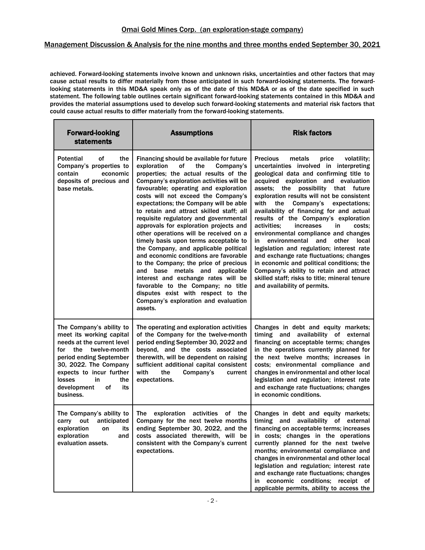## Management Discussion & Analysis for the nine months and three months ended September 30, 2021

achieved. Forward-looking statements involve known and unknown risks, uncertainties and other factors that may cause actual results to differ materially from those anticipated in such forward-looking statements. The forwardlooking statements in this MD&A speak only as of the date of this MD&A or as of the date specified in such statement. The following table outlines certain significant forward-looking statements contained in this MD&A and provides the material assumptions used to develop such forward-looking statements and material risk factors that could cause actual results to differ materially from the forward-looking statements.

| <b>Forward-looking</b><br><b>statements</b>                                                                                                                                                                                                                   | <b>Assumptions</b>                                                                                                                                                                                                                                                                                                                                                                                                                                                                                                                                                                                                                                                                                                                                                                                                                                    | <b>Risk factors</b>                                                                                                                                                                                                                                                                                                                                                                                                                                                                                                                                                                                                                                                                                                                                                                                      |
|---------------------------------------------------------------------------------------------------------------------------------------------------------------------------------------------------------------------------------------------------------------|-------------------------------------------------------------------------------------------------------------------------------------------------------------------------------------------------------------------------------------------------------------------------------------------------------------------------------------------------------------------------------------------------------------------------------------------------------------------------------------------------------------------------------------------------------------------------------------------------------------------------------------------------------------------------------------------------------------------------------------------------------------------------------------------------------------------------------------------------------|----------------------------------------------------------------------------------------------------------------------------------------------------------------------------------------------------------------------------------------------------------------------------------------------------------------------------------------------------------------------------------------------------------------------------------------------------------------------------------------------------------------------------------------------------------------------------------------------------------------------------------------------------------------------------------------------------------------------------------------------------------------------------------------------------------|
| <b>Potential</b><br>οf<br>the<br>Company's properties to<br>contain<br>economic<br>deposits of precious and<br>base metals.                                                                                                                                   | Financing should be available for future<br>exploration<br>οf<br>the<br>Company's<br>properties; the actual results of the<br>Company's exploration activities will be<br>favourable; operating and exploration<br>costs will not exceed the Company's<br>expectations; the Company will be able<br>to retain and attract skilled staff; all<br>requisite regulatory and governmental<br>approvals for exploration projects and<br>other operations will be received on a<br>timely basis upon terms acceptable to<br>the Company, and applicable political<br>and economic conditions are favorable<br>to the Company; the price of precious<br>and base metals and applicable<br>interest and exchange rates will be<br>favorable to the Company; no title<br>disputes exist with respect to the<br>Company's exploration and evaluation<br>assets. | <b>Precious</b><br>metals<br>price<br>volatility;<br>uncertainties involved in interpreting<br>geological data and confirming title to<br>acquired exploration and evaluation<br>assets; the possibility that future<br>exploration results will not be consistent<br>Company's<br>with<br>the<br>expectations;<br>availability of financing for and actual<br>results of the Company's exploration<br>activities;<br>increases<br>in<br>costs:<br>environmental compliance and changes<br>environmental<br>other<br>local<br>in<br>and<br>legislation and regulation; interest rate<br>and exchange rate fluctuations; changes<br>in economic and political conditions; the<br>Company's ability to retain and attract<br>skilled staff; risks to title; mineral tenure<br>and availability of permits. |
| The Company's ability to<br>meet its working capital<br>needs at the current level<br>twelve-month<br>for the<br>period ending September<br>30, 2022. The Company<br>expects to incur further<br>losses<br>in<br>the<br>development<br>of<br>its<br>business. | The operating and exploration activities<br>of the Company for the twelve-month<br>period ending September 30, 2022 and<br>beyond, and the costs associated<br>therewith, will be dependent on raising<br>sufficient additional capital consistent<br>with<br>the<br>Company's<br>current<br>expectations.                                                                                                                                                                                                                                                                                                                                                                                                                                                                                                                                            | Changes in debt and equity markets;<br>timing and availability of external<br>financing on acceptable terms; changes<br>in the operations currently planned for<br>the next twelve months; increases in<br>costs; environmental compliance and<br>changes in environmental and other local<br>legislation and regulation; interest rate<br>and exchange rate fluctuations; changes<br>in economic conditions.                                                                                                                                                                                                                                                                                                                                                                                            |
| The Company's ability to<br>out<br>anticipated<br>carry<br>exploration<br>its<br>on<br>exploration<br>and<br>evaluation assets.                                                                                                                               | exploration activities<br>The<br>оf<br>the<br>Company for the next twelve months<br>ending September 30, 2022, and the<br>costs associated therewith, will be<br>consistent with the Company's current<br>expectations.                                                                                                                                                                                                                                                                                                                                                                                                                                                                                                                                                                                                                               | Changes in debt and equity markets;<br>timing and availability of external<br>financing on acceptable terms; increases<br>in costs; changes in the operations<br>currently planned for the next twelve<br>months; environmental compliance and<br>changes in environmental and other local<br>legislation and regulation; interest rate<br>and exchange rate fluctuations; changes<br>in economic conditions; receipt of<br>applicable permits, ability to access the                                                                                                                                                                                                                                                                                                                                    |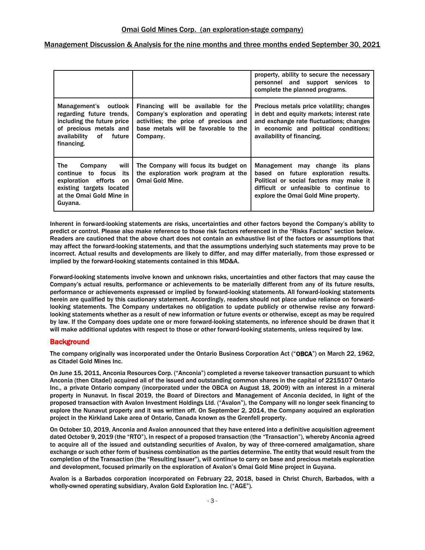|                                                                                                                                                     |                                                                                                                                                                         | property, ability to secure the necessary<br>personnel and support services to<br>complete the planned programs.                                                                                         |
|-----------------------------------------------------------------------------------------------------------------------------------------------------|-------------------------------------------------------------------------------------------------------------------------------------------------------------------------|----------------------------------------------------------------------------------------------------------------------------------------------------------------------------------------------------------|
| Management's outlook<br>regarding future trends,<br>including the future price<br>of precious metals and<br>availability of<br>future<br>financing. | Financing will be available for the<br>Company's exploration and operating<br>activities; the price of precious and<br>base metals will be favorable to the<br>Company. | Precious metals price volatility; changes<br>in debt and equity markets; interest rate<br>and exchange rate fluctuations; changes<br>in economic and political conditions;<br>availability of financing. |
| will<br>The<br>Company<br>its<br>continue to focus<br>exploration efforts<br>on<br>existing targets located<br>at the Omai Gold Mine in<br>Guyana.  | The Company will focus its budget on<br>the exploration work program at the<br><b>Omai Gold Mine.</b>                                                                   | Management may change its plans<br>based on future exploration results.<br>Political or social factors may make it<br>difficult or unfeasible to continue to<br>explore the Omai Gold Mine property.     |

Inherent in forward-looking statements are risks, uncertainties and other factors beyond the Company's ability to predict or control. Please also make reference to those risk factors referenced in the "Risks Factors" section below. Readers are cautioned that the above chart does not contain an exhaustive list of the factors or assumptions that may affect the forward-looking statements, and that the assumptions underlying such statements may prove to be incorrect. Actual results and developments are likely to differ, and may differ materially, from those expressed or implied by the forward-looking statements contained in this MD&A.

Forward-looking statements involve known and unknown risks, uncertainties and other factors that may cause the Company's actual results, performance or achievements to be materially different from any of its future results, performance or achievements expressed or implied by forward-looking statements. All forward-looking statements herein are qualified by this cautionary statement. Accordingly, readers should not place undue reliance on forwardlooking statements. The Company undertakes no obligation to update publicly or otherwise revise any forwardlooking statements whether as a result of new information or future events or otherwise, except as may be required by law. If the Company does update one or more forward-looking statements, no inference should be drawn that it will make additional updates with respect to those or other forward-looking statements, unless required by law.

# **Background**

The company originally was incorporated under the Ontario Business Corporation Act ("OBCA") on March 22, 1962, as Citadel Gold Mines Inc.

On June 15, 2011, Anconia Resources Corp. ("Anconia") completed a reverse takeover transaction pursuant to which Anconia (then Citadel) acquired all of the issued and outstanding common shares in the capital of 2215107 Ontario Inc., a private Ontario company (incorporated under the OBCA on August 18, 2009) with an interest in a mineral property in Nunavut. In fiscal 2019, the Board of Directors and Management of Anconia decided, in light of the proposed transaction with Avalon Investment Holdings Ltd. ("Avalon"), the Company will no longer seek financing to explore the Nunavut property and it was written off. On September 2, 2014, the Company acquired an exploration project in the Kirkland Lake area of Ontario, Canada known as the Grenfell property.

On October 10, 2019, Anconia and Avalon announced that they have entered into a definitive acquisition agreement dated October 9, 2019 (the "RTO"), in respect of a proposed transaction (the "Transaction"), whereby Anconia agreed to acquire all of the issued and outstanding securities of Avalon, by way of three-cornered amalgamation, share exchange or such other form of business combination as the parties determine. The entity that would result from the completion of the Transaction (the "Resulting Issuer"), will continue to carry on base and precious metals exploration and development, focused primarily on the exploration of Avalon's Omai Gold Mine project in Guyana.

Avalon is a Barbados corporation incorporated on February 22, 2018, based in Christ Church, Barbados, with a wholly-owned operating subsidiary, Avalon Gold Exploration Inc. ("AGE").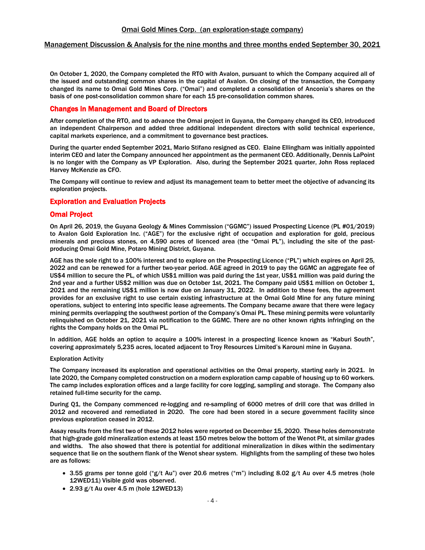#### Management Discussion & Analysis for the nine months and three months ended September 30, 2021

On October 1, 2020, the Company completed the RTO with Avalon, pursuant to which the Company acquired all of the issued and outstanding common shares in the capital of Avalon. On closing of the transaction, the Company changed its name to Omai Gold Mines Corp. ("Omai") and completed a consolidation of Anconia's shares on the basis of one post-consolidation common share for each 15 pre-consolidation common shares.

#### Changes in Management and Board of Directors

After completion of the RTO, and to advance the Omai project in Guyana, the Company changed its CEO, introduced an independent Chairperson and added three additional independent directors with solid technical experience, capital markets experience, and a commitment to governance best practices.

During the quarter ended September 2021, Mario Stifano resigned as CEO. Elaine Ellingham was initially appointed interim CEO and later the Company announced her appointment as the permanent CEO. Additionally, Dennis LaPoint is no longer with the Company as VP Exploration. Also, during the September 2021 quarter, John Ross replaced Harvey McKenzie as CFO.

The Company will continue to review and adjust its management team to better meet the objective of advancing its exploration projects.

#### Exploration and Evaluation Projects

## Omai Project

On April 26, 2019, the Guyana Geology & Mines Commission ("GGMC") issued Prospecting Licence (PL #01/2019) to Avalon Gold Exploration Inc. ("AGE") for the exclusive right of occupation and exploration for gold, precious minerals and precious stones, on 4,590 acres of licenced area (the "Omai PL"), including the site of the pastproducing Omai Gold Mine, Potaro Mining District, Guyana.

AGE has the sole right to a 100% interest and to explore on the Prospecting Licence ("PL") which expires on April 25, 2022 and can be renewed for a further two-year period. AGE agreed in 2019 to pay the GGMC an aggregate fee of US\$4 million to secure the PL, of which US\$1 million was paid during the 1st year, US\$1 million was paid during the 2nd year and a further US\$2 million was due on October 1st, 2021. The Company paid US\$1 million on October 1, 2021 and the remaining US\$1 million is now due on January 31, 2022. In addition to these fees, the agreement provides for an exclusive right to use certain existing infrastructure at the Omai Gold Mine for any future mining operations, subject to entering into specific lease agreements. The Company became aware that there were legacy mining permits overlapping the southwest portion of the Company's Omai PL. These mining permits were voluntarily relinquished on October 21, 2021 via notification to the GGMC. There are no other known rights infringing on the rights the Company holds on the Omai PL.

In addition, AGE holds an option to acquire a 100% interest in a prospecting licence known as "Kaburi South", covering approximately 5,235 acres, located adjacent to Troy Resources Limited's Karouni mine in Guyana.

#### Exploration Activity

The Company increased its exploration and operational activities on the Omai property, starting early in 2021. In late 2020, the Company completed construction on a modern exploration camp capable of housing up to 60 workers. The camp includes exploration offices and a large facility for core logging, sampling and storage. The Company also retained full-time security for the camp.

During Q1, the Company commenced re-logging and re-sampling of 6000 metres of drill core that was drilled in 2012 and recovered and remediated in 2020. The core had been stored in a secure government facility since previous exploration ceased in 2012.

Assay results from the first two of these 2012 holes were reported on December 15, 2020. These holes demonstrate that high-grade gold mineralization extends at least 150 metres below the bottom of the Wenot Pit, at similar grades and widths. The also showed that there is potential for additional mineralization in dikes within the sedimentary sequence that lie on the southern flank of the Wenot shear system. Highlights from the sampling of these two holes are as follows:

- 3.55 grams per tonne gold ("g/t Au") over 20.6 metres ("m") including 8.02 g/t Au over 4.5 metres (hole 12WED11) Visible gold was observed.
- 2.93 g/t Au over 4.5 m (hole 12WED13)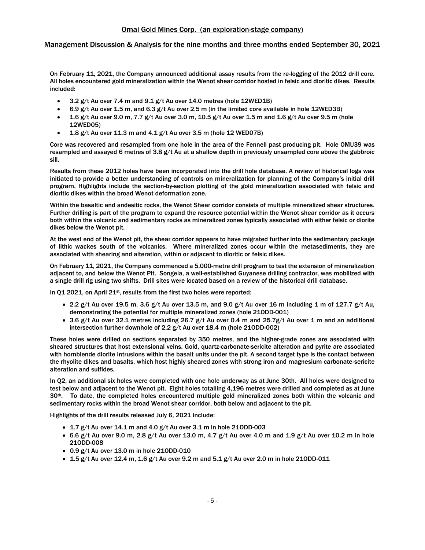## Management Discussion & Analysis for the nine months and three months ended September 30, 2021

On February 11, 2021, the Company announced additional assay results from the re-logging of the 2012 drill core. All holes encountered gold mineralization within the Wenot shear corridor hosted in felsic and dioritic dikes. Results included:

- 3.2 g/t Au over 7.4 m and 9.1 g/t Au over 14.0 metres (hole 12WED1B)
- 6.9 g/t Au over 1.5 m, and 6.3 g/t Au over 2.5 m (in the limited core available in hole 12WED3B)
- 1.6 g/t Au over 9.0 m, 7.7 g/t Au over 3.0 m, 10.5 g/t Au over 1.5 m and 1.6 g/t Au over 9.5 m (hole 12WED05)
- 1.8 g/t Au over 11.3 m and 4.1 g/t Au over 3.5 m (hole 12 WED07B)

Core was recovered and resampled from one hole in the area of the Fennell past producing pit. Hole OMU39 was resampled and assayed 6 metres of 3.8 g/t Au at a shallow depth in previously unsampled core above the gabbroic sill.

Results from these 2012 holes have been incorporated into the drill hole database. A review of historical logs was initiated to provide a better understanding of controls on mineralization for planning of the Company's initial drill program. Highlights include the section-by-section plotting of the gold mineralization associated with felsic and dioritic dikes within the broad Wenot deformation zone.

Within the basaltic and andesitic rocks, the Wenot Shear corridor consists of multiple mineralized shear structures. Further drilling is part of the program to expand the resource potential within the Wenot shear corridor as it occurs both within the volcanic and sedimentary rocks as mineralized zones typically associated with either felsic or diorite dikes below the Wenot pit.

At the west end of the Wenot pit, the shear corridor appears to have migrated further into the sedimentary package of lithic wackes south of the volcanics. Where mineralized zones occur within the metasediments, they are associated with shearing and alteration, within or adjacent to dioritic or felsic dikes.

On February 11, 2021, the Company commenced a 5,000-metre drill program to test the extension of mineralization adjacent to, and below the Wenot Pit. Songela, a well-established Guyanese drilling contractor, was mobilized with a single drill rig using two shifts. Drill sites were located based on a review of the historical drill database.

In Q1 2021, on April 21<sup>st</sup>, results from the first two holes were reported:

- 2.2 g/t Au over 19.5 m, 3.6 g/t Au over 13.5 m, and 9.0 g/t Au over 16 m including 1 m of 127.7 g/t Au, demonstrating the potential for multiple mineralized zones (hole 21ODD-001)
- 3.6 g/t Au over 32.1 metres including 26.7 g/t Au over 0.4 m and 25.7g/t Au over 1 m and an additional intersection further downhole of 2.2 g/t Au over 18.4 m (hole 21ODD-002)

These holes were drilled on sections separated by 350 metres, and the higher-grade zones are associated with sheared structures that host extensional veins. Gold, quartz-carbonate-sericite alteration and pyrite are associated with hornblende diorite intrusions within the basalt units under the pit. A second target type is the contact between the rhyolite dikes and basalts, which host highly sheared zones with strong iron and magnesium carbonate-sericite alteration and sulfides.

In Q2, an additional six holes were completed with one hole underway as at June 30th. All holes were designed to test below and adjacent to the Wenot pit. Eight holes totalling 4,196 metres were drilled and completed as at June  $30<sup>th</sup>$ . To date, the completed holes encountered multiple gold mineralized zones both within the volcanic and sedimentary rocks within the broad Wenot shear corridor, both below and adjacent to the pit.

Highlights of the drill results released July 6, 2021 include:

- $\bullet$  1.7 g/t Au over 14.1 m and 4.0 g/t Au over 3.1 m in hole 210DD-003
- 6.6 g/t Au over 9.0 m, 2.8 g/t Au over 13.0 m, 4.7 g/t Au over 4.0 m and 1.9 g/t Au over 10.2 m in hole 21ODD-008
- 0.9 g/t Au over 13.0 m in hole 21ODD-010
- $\bullet$  1.5 g/t Au over 12.4 m, 1.6 g/t Au over 9.2 m and 5.1 g/t Au over 2.0 m in hole 210DD-011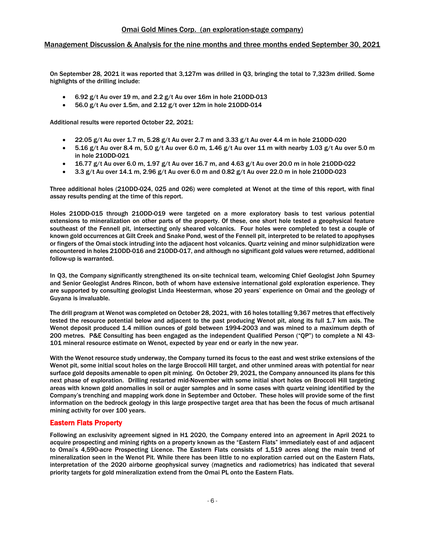## Management Discussion & Analysis for the nine months and three months ended September 30, 2021

On September 28, 2021 it was reported that 3,127m was drilled in Q3, bringing the total to 7,323m drilled. Some highlights of the drilling include:

- 6.92 g/t Au over 19 m, and 2.2 g/t Au over 16m in hole 21ODD-013
- $\bullet$  56.0 g/t Au over 1.5m, and 2.12 g/t over 12m in hole 210DD-014

Additional results were reported October 22, 2021:

- 22.05 g/t Au over 1.7 m, 5.28 g/t Au over 2.7 m and 3.33 g/t Au over 4.4 m in hole 21ODD-020
- 5.16 g/t Au over 8.4 m, 5.0 g/t Au over 6.0 m, 1.46 g/t Au over 11 m with nearby 1.03 g/t Au over 5.0 m in hole 21ODD-021
- 16.77 g/t Au over 6.0 m, 1.97 g/t Au over 16.7 m, and 4.63 g/t Au over 20.0 m in hole 21ODD-022
- $3.3$  g/t Au over 14.1 m, 2.96 g/t Au over 6.0 m and 0.82 g/t Au over 22.0 m in hole 210DD-023

Three additional holes (21ODD-024, 025 and 026) were completed at Wenot at the time of this report, with final assay results pending at the time of this report.

Holes 21ODD-015 through 21ODD-019 were targeted on a more exploratory basis to test various potential extensions to mineralization on other parts of the property. Of these, one short hole tested a geophysical feature southeast of the Fennell pit, intersecting only sheared volcanics. Four holes were completed to test a couple of known gold occurrences at Gilt Creek and Snake Pond, west of the Fennell pit, interpreted to be related to apophyses or fingers of the Omai stock intruding into the adjacent host volcanics. Quartz veining and minor sulphidization were encountered in holes 21ODD-016 and 21ODD-017, and although no significant gold values were returned, additional follow-up is warranted.

In Q3, the Company significantly strengthened its on-site technical team, welcoming Chief Geologist John Spurney and Senior Geologist Andres Rincon, both of whom have extensive international gold exploration experience. They are supported by consulting geologist Linda Heesterman, whose 20 years' experience on Omai and the geology of Guyana is invaluable.

The drill program at Wenot was completed on October 28, 2021, with 16 holes totalling 9,367 metres that effectively tested the resource potential below and adjacent to the past producing Wenot pit, along its full 1.7 km axis. The Wenot deposit produced 1.4 million ounces of gold between 1994-2003 and was mined to a maximum depth of 200 metres. P&E Consulting has been engaged as the independent Qualified Person ("QP") to complete a NI 43- 101 mineral resource estimate on Wenot, expected by year end or early in the new year.

With the Wenot resource study underway, the Company turned its focus to the east and west strike extensions of the Wenot pit, some initial scout holes on the large Broccoli Hill target, and other unmined areas with potential for near surface gold deposits amenable to open pit mining. On October 29, 2021, the Company announced its plans for this next phase of exploration. Drilling restarted mid-November with some initial short holes on Broccoli Hill targeting areas with known gold anomalies in soil or auger samples and in some cases with quartz veining identified by the Company's trenching and mapping work done in September and October. These holes will provide some of the first information on the bedrock geology in this large prospective target area that has been the focus of much artisanal mining activity for over 100 years.

# Eastern Flats Property

Following an exclusivity agreement signed in H1 2020, the Company entered into an agreement in April 2021 to acquire prospecting and mining rights on a property known as the "Eastern Flats" immediately east of and adjacent to Omai's 4,590-acre Prospecting Licence. The Eastern Flats consists of 1,519 acres along the main trend of mineralization seen in the Wenot Pit. While there has been little to no exploration carried out on the Eastern Flats, interpretation of the 2020 airborne geophysical survey (magnetics and radiometrics) has indicated that several priority targets for gold mineralization extend from the Omai PL onto the Eastern Flats.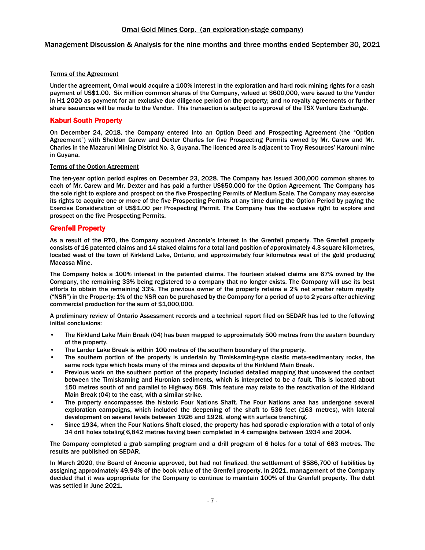## Terms of the Agreement

Under the agreement, Omai would acquire a 100% interest in the exploration and hard rock mining rights for a cash payment of US\$1.00. Six million common shares of the Company, valued at \$600,000, were issued to the Vendor in H1 2020 as payment for an exclusive due diligence period on the property; and no royalty agreements or further share issuances will be made to the Vendor. This transaction is subject to approval of the TSX Venture Exchange.

# Kaburi South Property

On December 24, 2018, the Company entered into an Option Deed and Prospecting Agreement (the "Option Agreement") with Sheldon Carew and Dexter Charles for five Prospecting Permits owned by Mr. Carew and Mr. Charles in the Mazaruni Mining District No. 3, Guyana. The licenced area is adjacent to Troy Resources' Karouni mine in Guyana.

## Terms of the Option Agreement

The ten-year option period expires on December 23, 2028. The Company has issued 300,000 common shares to each of Mr. Carew and Mr. Dexter and has paid a further US\$50,000 for the Option Agreement. The Company has the sole right to explore and prospect on the five Prospecting Permits of Medium Scale. The Company may exercise its rights to acquire one or more of the five Prospecting Permits at any time during the Option Period by paying the Exercise Consideration of US\$1.00 per Prospecting Permit. The Company has the exclusive right to explore and prospect on the five Prospecting Permits.

## Grenfell Property

As a result of the RTO, the Company acquired Anconia's interest in the Grenfell property. The Grenfell property consists of 16 patented claims and 14 staked claims for a total land position of approximately 4.3 square kilometres, located west of the town of Kirkland Lake, Ontario, and approximately four kilometres west of the gold producing Macassa Mine.

The Company holds a 100% interest in the patented claims. The fourteen staked claims are 67% owned by the Company, the remaining 33% being registered to a company that no longer exists. The Company will use its best efforts to obtain the remaining 33%. The previous owner of the property retains a 2% net smelter return royalty ("NSR") in the Property; 1% of the NSR can be purchased by the Company for a period of up to 2 years after achieving commercial production for the sum of \$1,000,000.

A preliminary review of Ontario Assessment records and a technical report filed on SEDAR has led to the following initial conclusions:

- The Kirkland Lake Main Break (04) has been mapped to approximately 500 metres from the eastern boundary of the property.
- The Larder Lake Break is within 100 metres of the southern boundary of the property.
- The southern portion of the property is underlain by Timiskaming-type clastic meta-sedimentary rocks, the same rock type which hosts many of the mines and deposits of the Kirkland Main Break.
- Previous work on the southern portion of the property included detailed mapping that uncovered the contact between the Timiskaming and Huronian sediments, which is interpreted to be a fault. This is located about 150 metres south of and parallel to Highway 568. This feature may relate to the reactivation of the Kirkland Main Break (04) to the east, with a similar strike.
- The property encompasses the historic Four Nations Shaft. The Four Nations area has undergone several exploration campaigns, which included the deepening of the shaft to 536 feet (163 metres), with lateral development on several levels between 1926 and 1928, along with surface trenching.
- Since 1934, when the Four Nations Shaft closed, the property has had sporadic exploration with a total of only 34 drill holes totaling 6,842 metres having been completed in 4 campaigns between 1934 and 2004.

The Company completed a grab sampling program and a drill program of 6 holes for a total of 663 metres. The results are published on SEDAR.

In March 2020, the Board of Anconia approved, but had not finalized, the settlement of \$586,700 of liabilities by assigning approximately 49.94% of the book value of the Grenfell property. In 2021, management of the Company decided that it was appropriate for the Company to continue to maintain 100% of the Grenfell property. The debt was settled in June 2021.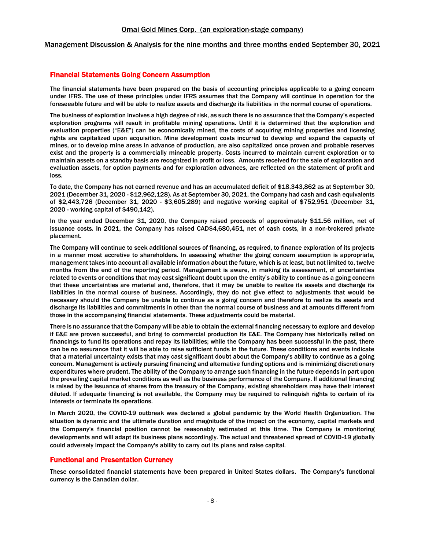## Management Discussion & Analysis for the nine months and three months ended September 30, 2021

## Financial Statements Going Concern Assumption

The financial statements have been prepared on the basis of accounting principles applicable to a going concern under IFRS. The use of these principles under IFRS assumes that the Company will continue in operation for the foreseeable future and will be able to realize assets and discharge its liabilities in the normal course of operations.

The business of exploration involves a high degree of risk, as such there is no assurance that the Company's expected exploration programs will result in profitable mining operations. Until it is determined that the exploration and evaluation properties ("E&E") can be economically mined, the costs of acquiring mining properties and licensing rights are capitalized upon acquisition. Mine development costs incurred to develop and expand the capacity of mines, or to develop mine areas in advance of production, are also capitalized once proven and probable reserves exist and the property is a commercially mineable property. Costs incurred to maintain current exploration or to maintain assets on a standby basis are recognized in profit or loss. Amounts received for the sale of exploration and evaluation assets, for option payments and for exploration advances, are reflected on the statement of profit and loss.

To date, the Company has not earned revenue and has an accumulated deficit of \$18,343,862 as at September 30, 2021 (December 31, 2020 - \$12,962,128). As at September 30, 2021, the Company had cash and cash equivalents of \$2,443,726 (December 31, 2020 - \$3,605,289) and negative working capital of \$752,951 (December 31, 2020 - working capital of \$490,142).

In the year ended December 31, 2020, the Company raised proceeds of approximately \$11.56 million, net of issuance costs. In 2021, the Company has raised CAD\$4,680,451, net of cash costs, in a non-brokered private placement.

The Company will continue to seek additional sources of financing, as required, to finance exploration of its projects in a manner most accretive to shareholders. In assessing whether the going concern assumption is appropriate, management takes into account all available information about the future, which is at least, but not limited to, twelve months from the end of the reporting period. Management is aware, in making its assessment, of uncertainties related to events or conditions that may cast significant doubt upon the entity's ability to continue as a going concern that these uncertainties are material and, therefore, that it may be unable to realize its assets and discharge its liabilities in the normal course of business. Accordingly, they do not give effect to adjustments that would be necessary should the Company be unable to continue as a going concern and therefore to realize its assets and discharge its liabilities and commitments in other than the normal course of business and at amounts different from those in the accompanying financial statements. These adjustments could be material.

There is no assurance that the Company will be able to obtain the external financing necessary to explore and develop if E&E are proven successful, and bring to commercial production its E&E. The Company has historically relied on financings to fund its operations and repay its liabilities; while the Company has been successful in the past, there can be no assurance that it will be able to raise sufficient funds in the future. These conditions and events indicate that a material uncertainty exists that may cast significant doubt about the Company's ability to continue as a going concern. Management is actively pursuing financing and alternative funding options and is minimizing discretionary expenditures where prudent. The ability of the Company to arrange such financing in the future depends in part upon the prevailing capital market conditions as well as the business performance of the Company. If additional financing is raised by the issuance of shares from the treasury of the Company, existing shareholders may have their interest diluted. If adequate financing is not available, the Company may be required to relinquish rights to certain of its interests or terminate its operations.

In March 2020, the COVID-19 outbreak was declared a global pandemic by the World Health Organization. The situation is dynamic and the ultimate duration and magnitude of the impact on the economy, capital markets and the Company's financial position cannot be reasonably estimated at this time. The Company is monitoring developments and will adapt its business plans accordingly. The actual and threatened spread of COVID-19 globally could adversely impact the Company's ability to carry out its plans and raise capital.

# Functional and Presentation Currency

These consolidated financial statements have been prepared in United States dollars. The Company's functional currency is the Canadian dollar.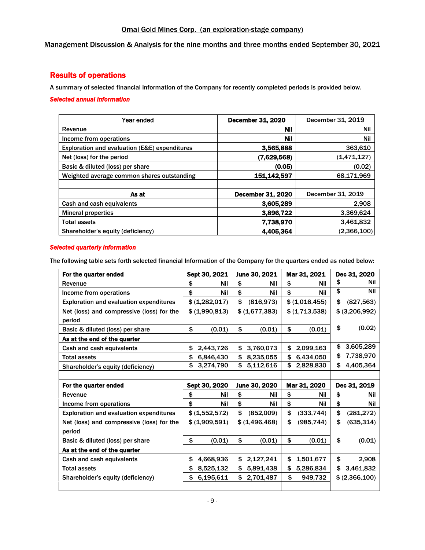# Management Discussion & Analysis for the nine months and three months ended September 30, 2021

# Results of operations

A summary of selected financial information of the Company for recently completed periods is provided below.

# *Selected annual information*

| Year ended                                    | December 31, 2020        | December 31, 2019 |
|-----------------------------------------------|--------------------------|-------------------|
| Revenue                                       | Nil                      | Nil               |
| Income from operations                        | Nil                      | Nil               |
| Exploration and evaluation (E&E) expenditures | 3,565,888                | 363,610           |
| Net (loss) for the period                     | (7.629.568)              | (1,471,127)       |
| Basic & diluted (loss) per share              | (0.05)                   | (0.02)            |
| Weighted average common shares outstanding    | 151.142.597              | 68,171,969        |
|                                               |                          |                   |
| As at                                         | <b>December 31, 2020</b> | December 31, 2019 |
| Cash and cash equivalents                     | 3.605.289                | 2.908             |
| <b>Mineral properties</b>                     | 3,896,722                | 3,369,624         |
| <b>Total assets</b>                           | 7,738,970                | 3,461,832         |
| Shareholder's equity (deficiency)             | 4,405,364                | (2,366,100)       |

## *Selected quarterly information*

The following table sets forth selected financial Information of the Company for the quarters ended as noted below:

| For the quarter ended                          | Sept 30, 2021   | June 30, 2021    | Mar 31, 2021     | Dec 31, 2020     |
|------------------------------------------------|-----------------|------------------|------------------|------------------|
| Revenue                                        | \$<br>Nil       | \$<br>Nil        | \$<br>Nil        | \$<br>Nil        |
| Income from operations                         | \$<br>Nil       | \$<br><b>Nil</b> | \$<br>Nil        | \$<br>Nil        |
| <b>Exploration and evaluation expenditures</b> | \$ (1,282,017)  | \$<br>(816, 973) | \$ (1,016,455)   | \$<br>(827, 563) |
| Net (loss) and compressive (loss) for the      | \$ (1,990,813)  | \$ (1,677,383)   | \$ (1,713,538)   | \$ (3,206,992)   |
| period                                         |                 |                  |                  |                  |
| Basic & diluted (loss) per share               | \$<br>(0.01)    | \$<br>(0.01)     | \$<br>(0.01)     | \$<br>(0.02)     |
| As at the end of the quarter                   |                 |                  |                  |                  |
| Cash and cash equivalents                      | \$<br>2,443,726 | \$<br>3,760,073  | \$<br>2,099,163  | \$<br>3,605,289  |
| <b>Total assets</b>                            | \$<br>6,846,430 | \$<br>8,235,055  | \$<br>6,434,050  | \$<br>7,738,970  |
| Shareholder's equity (deficiency)              | \$<br>3,274,790 | \$<br>5,112,616  | \$<br>2,828,830  | \$<br>4,405,364  |
|                                                |                 |                  |                  |                  |
|                                                |                 |                  |                  |                  |
| For the quarter ended                          | Sept 30, 2020   | June 30, 2020    | Mar 31, 2020     | Dec 31, 2019     |
| Revenue                                        | \$<br>Nil       | \$<br>Nil        | \$<br>Nil        | \$<br>Nil        |
| Income from operations                         | \$<br>Nil       | \$<br><b>Nil</b> | \$<br>Nil        | \$<br>Nil        |
| <b>Exploration and evaluation expenditures</b> | \$ (1,552,572)  | \$<br>(852,009)  | \$<br>(333, 744) | \$<br>(281, 272) |
| Net (loss) and compressive (loss) for the      | \$ (1,909,591)  | \$ (1,496,468)   | \$<br>(985, 744) | \$<br>(635, 314) |
| period                                         |                 |                  |                  |                  |
| Basic & diluted (loss) per share               | \$<br>(0.01)    | \$<br>(0.01)     | \$<br>(0.01)     | \$<br>(0.01)     |
| As at the end of the quarter                   |                 |                  |                  |                  |
| Cash and cash equivalents                      | \$<br>4,668,936 | \$<br>2,127,241  | \$<br>1,501,677  | \$<br>2,908      |
| <b>Total assets</b>                            | \$<br>8,525,132 | \$<br>5,891,438  | \$<br>5,286,834  | \$<br>3,461,832  |
| Shareholder's equity (deficiency)              | \$<br>6,195,611 | \$<br>2,701,487  | \$<br>949,732    | \$ (2,366,100)   |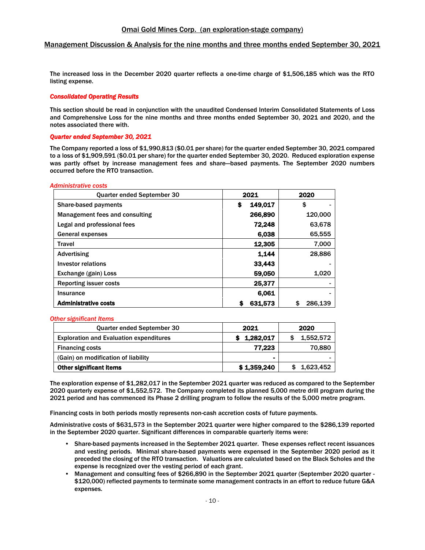The increased loss in the December 2020 quarter reflects a one-time charge of \$1,506,185 which was the RTO listing expense.

#### *Consolidated Operating Results*

This section should be read in conjunction with the unaudited Condensed Interim Consolidated Statements of Loss and Comprehensive Loss for the nine months and three months ended September 30, 2021 and 2020, and the notes associated there with.

## *Quarter ended September 30, 2021*

The Company reported a loss of \$1,990,813 (\$0.01 per share) for the quarter ended September 30, 2021 compared to a loss of \$1,909,591 (\$0.01 per share) for the quarter ended September 30, 2020. Reduced exploration expense was partly offset by increase management fees and share—based payments. The September 2020 numbers occurred before the RTO transaction.

#### *Administrative costs*

| Quarter ended September 30     | 2021         | 2020          |
|--------------------------------|--------------|---------------|
| <b>Share-based payments</b>    | 149,017<br>S | \$            |
| Management fees and consulting | 266,890      | 120,000       |
| Legal and professional fees    | 72.248       | 63,678        |
| <b>General expenses</b>        | 6.038        | 65,555        |
| <b>Travel</b>                  | 12,305       | 7,000         |
| Advertising                    | 1.144        | 28,886        |
| Investor relations             | 33.443       |               |
| Exchange (gain) Loss           | 59,050       | 1.020         |
| <b>Reporting issuer costs</b>  | 25,377       |               |
| Insurance                      | 6.061        |               |
| <b>Administrative costs</b>    | 631,573<br>S | 286.139<br>\$ |

#### *Other significant Items*

| <b>Quarter ended September 30</b>              | 2021        | 2020      |
|------------------------------------------------|-------------|-----------|
| <b>Exploration and Evaluation expenditures</b> | \$1,282,017 | 1.552.572 |
| <b>Financing costs</b>                         | 77.223      | 70,880    |
| (Gain) on modification of liability            | -           |           |
| <b>Other significant items</b>                 | \$1,359,240 | 1,623,452 |

The exploration expense of \$1,282,017 in the September 2021 quarter was reduced as compared to the September 2020 quarterly expense of \$1,552,572. The Company completed its planned 5,000 metre drill program during the 2021 period and has commenced its Phase 2 drilling program to follow the results of the 5,000 metre program.

Financing costs in both periods mostly represents non-cash accretion costs of future payments.

Administrative costs of \$631,573 in the September 2021 quarter were higher compared to the \$286,139 reported in the September 2020 quarter. Significant differences in comparable quarterly items were:

- Share-based payments increased in the September 2021 quarter. These expenses reflect recent issuances and vesting periods. Minimal share-based payments were expensed in the September 2020 period as it preceded the closing of the RTO transaction. Valuations are calculated based on the Black Scholes and the expense is recognized over the vesting period of each grant.
- Management and consulting fees of \$266,890 in the September 2021 quarter (September 2020 quarter \$120,000) reflected payments to terminate some management contracts in an effort to reduce future G&A expenses.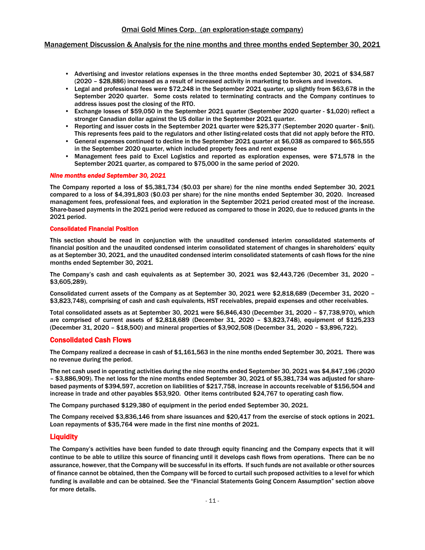## Management Discussion & Analysis for the nine months and three months ended September 30, 2021

- Advertising and investor relations expenses in the three months ended September 30, 2021 of \$34,587 (2020 – \$28,886) increased as a result of increased activity in marketing to brokers and investors.
- Legal and professional fees were \$72,248 in the September 2021 quarter, up slightly from \$63,678 in the September 2020 quarter. Some costs related to terminating contracts and the Company continues to address issues post the closing of the RTO.
- Exchange losses of \$59,050 in the September 2021 quarter (September 2020 quarter \$1,020) reflect a stronger Canadian dollar against the US dollar in the September 2021 quarter.
- Reporting and issuer costs in the September 2021 quarter were \$25,377 (September 2020 quarter \$nil). This represents fees paid to the regulators and other listing-related costs that did not apply before the RTO.
- General expenses continued to decline in the September 2021 quarter at \$6,038 as compared to \$65,555 in the September 2020 quarter, which included property fees and rent expense
- Management fees paid to Excel Logistics and reported as exploration expenses, were \$71,578 in the September 2021 quarter, as compared to \$75,000 in the same period of 2020.

#### *Nine months ended September 30, 2021*

The Company reported a loss of \$5,381,734 (\$0.03 per share) for the nine months ended September 30, 2021 compared to a loss of \$4,391,803 (\$0.03 per share) for the nine months ended September 30, 2020. Increased management fees, professional fees, and exploration in the September 2021 period created most of the increase. Share-based payments in the 2021 period were reduced as compared to those in 2020, due to reduced grants in the 2021 period.

#### Consolidated Financial Position

This section should be read in conjunction with the unaudited condensed interim consolidated statements of financial position and the unaudited condensed interim consolidated statement of changes in shareholders' equity as at September 30, 2021, and the unaudited condensed interim consolidated statements of cash flows for the nine months ended September 30, 2021.

The Company's cash and cash equivalents as at September 30, 2021 was \$2,443,726 (December 31, 2020 – \$3,605,289).

Consolidated current assets of the Company as at September 30, 2021 were \$2,818,689 (December 31, 2020 – \$3,823,748), comprising of cash and cash equivalents, HST receivables, prepaid expenses and other receivables.

Total consolidated assets as at September 30, 2021 were \$6,846,430 (December 31, 2020 – \$7,738,970), which are comprised of current assets of \$2,818,689 (December 31, 2020 – \$3,823,748), equipment of \$125,233 (December 31, 2020 – \$18,500) and mineral properties of \$3,902,508 (December 31, 2020 – \$3,896,722).

## Consolidated Cash Flows

The Company realized a decrease in cash of \$1,161,563 in the nine months ended September 30, 2021. There was no revenue during the period.

The net cash used in operating activities during the nine months ended September 30, 2021 was \$4,847,196 (2020 – \$3,886,909). The net loss for the nine months ended September 30, 2021 of \$5,381,734 was adjusted for sharebased payments of \$394,597, accretion on liabilities of \$217,758, increase in accounts receivable of \$156,504 and increase in trade and other payables \$53,920. Other items contributed \$24,767 to operating cash flow.

The Company purchased \$129,380 of equipment in the period ended September 30, 2021.

The Company received \$3,836,146 from share issuances and \$20,417 from the exercise of stock options in 2021. Loan repayments of \$35,764 were made in the first nine months of 2021.

## **Liquidity**

The Company's activities have been funded to date through equity financing and the Company expects that it will continue to be able to utilize this source of financing until it develops cash flows from operations. There can be no assurance, however, that the Company will be successful in its efforts. If such funds are not available or other sources of finance cannot be obtained, then the Company will be forced to curtail such proposed activities to a level for which funding is available and can be obtained. See the "Financial Statements Going Concern Assumption" section above for more details.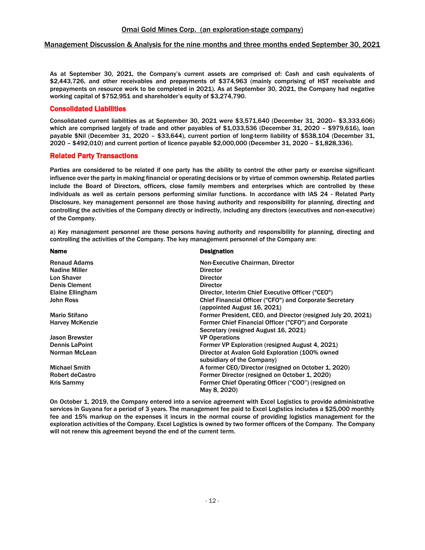As at September 30, 2021, the Company's current assets are comprised of: Cash and cash equivalents of \$2,443,726, and other receivables and prepayments of \$374,963 (mainly comprising of HST receivable and prepayments on resource work to be completed in 2021). As at September 30, 2021, the Company had negative working capital of \$752,951 and shareholder's equity of \$3,274,790.

# Consolidated Liabilities

Consolidated current liabilities as at September 30, 2021 were \$3,571,640 (December 31, 2020– \$3,333,606) which are comprised largely of trade and other payables of \$1,033,536 (December 31, 2020 – \$979,616), loan payable \$Nil (December 31, 2020 – \$33,644), current portion of long-term liability of \$538,104 (December 31, 2020 – \$492,010) and current portion of licence payable \$2,000,000 (December 31, 2020 – \$1,828,336).

## Related Party Transactions

Parties are considered to be related if one party has the ability to control the other party or exercise significant influence over the party in making financial or operating decisions or by virtue of common ownership. Related parties include the Board of Directors, officers, close family members and enterprises which are controlled by these individuals as well as certain persons performing similar functions. In accordance with IAS 24 - Related Party Disclosure, key management personnel are those having authority and responsibility for planning, directing and controlling the activities of the Company directly or indirectly, including any directors (executives and non-executive) of the Company.

a) Key management personnel are those persons having authority and responsibility for planning, directing and controlling the activities of the Company. The key management personnel of the Company are:

| <b>Name</b>            | <b>Designation</b>                                           |
|------------------------|--------------------------------------------------------------|
| <b>Renaud Adams</b>    | Non-Executive Chairman, Director                             |
| <b>Nadine Miller</b>   | <b>Director</b>                                              |
| <b>Lon Shaver</b>      | <b>Director</b>                                              |
| <b>Denis Clement</b>   | <b>Director</b>                                              |
| Elaine Ellingham       | Director, Interim Chief Executive Officer ("CEO")            |
| John Ross              | Chief Financial Officer ("CFO") and Corporate Secretary      |
|                        | (appointed August 16, 2021)                                  |
| <b>Mario Stifano</b>   | Former President, CEO, and Director (resigned July 20, 2021) |
| <b>Harvey McKenzie</b> | Former Chief Financial Officer ("CFO") and Corporate         |
|                        | Secretary (resigned August 16, 2021)                         |
| Jason Brewster         | <b>VP Operations</b>                                         |
| <b>Dennis LaPoint</b>  | Former VP Exploration (resigned August 4, 2021)              |
| Norman McLean          | Director at Avalon Gold Exploration (100% owned              |
|                        | subsidiary of the Company)                                   |
| <b>Michael Smith</b>   | A former CEO/Director (resigned on October 1, 2020)          |
| <b>Robert deCastro</b> | Former Director (resigned on October 1, 2020)                |
| Kris Sammy             | Former Chief Operating Officer ("COO") (resigned on          |
|                        | May 8, 2020)                                                 |

On October 1, 2019, the Company entered into a service agreement with Excel Logistics to provide administrative services in Guyana for a period of 3 years. The management fee paid to Excel Logistics includes a \$25,000 monthly fee and 15% markup on the expenses it incurs in the normal course of providing logistics management for the exploration activities of the Company. Excel Logistics is owned by two former officers of the Company. The Company will not renew this agreement beyond the end of the current term.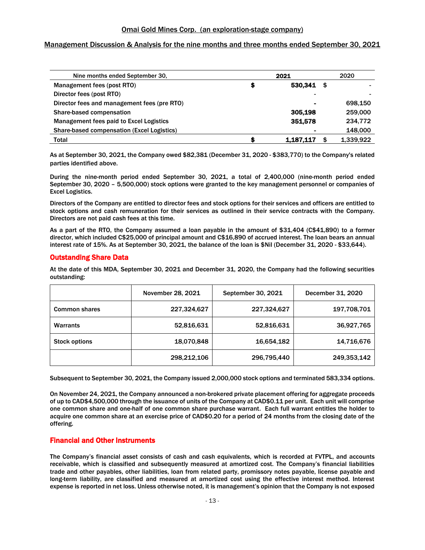# Management Discussion & Analysis for the nine months and three months ended September 30, 2021

| 2021<br>Nine months ended September 30,     |    | 2020      |           |
|---------------------------------------------|----|-----------|-----------|
| Management fees (post RTO)                  | \$ | 530.341   | \$        |
| Director fees (post RTO)                    |    |           |           |
| Director fees and management fees (pre RTO) |    |           | 698.150   |
| Share-based compensation                    |    | 305.198   | 259,000   |
| Management fees paid to Excel Logistics     |    | 351.578   | 234,772   |
| Share-based compensation (Excel Logistics)  |    |           | 148,000   |
| Total                                       | S  | 1.187.117 | 1.339.922 |

As at September 30, 2021, the Company owed \$82,381 (December 31, 2020 - \$383,770) to the Company's related parties identified above.

During the nine-month period ended September 30, 2021, a total of 2,400,000 (nine-month period ended September 30, 2020 – 5,500,000) stock options were granted to the key management personnel or companies of Excel Logistics.

Directors of the Company are entitled to director fees and stock options for their services and officers are entitled to stock options and cash remuneration for their services as outlined in their service contracts with the Company. Directors are not paid cash fees at this time.

As a part of the RTO, the Company assumed a loan payable in the amount of \$31,404 (C\$41,890) to a former director, which included C\$25,000 of principal amount and C\$16,890 of accrued interest. The loan bears an annual interest rate of 15%. As at September 30, 2021, the balance of the loan is \$Nil (December 31, 2020 - \$33,644).

# Outstanding Share Data

At the date of this MDA, September 30, 2021 and December 31, 2020, the Company had the following securities outstanding:

|                      | November 28, 2021 | September 30, 2021 | December 31, 2020 |
|----------------------|-------------------|--------------------|-------------------|
| <b>Common shares</b> | 227,324,627       | 227,324,627        | 197,708,701       |
| <b>Warrants</b>      | 52,816,631        | 52,816,631         | 36,927,765        |
| <b>Stock options</b> | 18,070,848        | 16,654,182         | 14,716,676        |
|                      | 298,212,106       | 296,795,440        | 249,353,142       |

Subsequent to September 30, 2021, the Company issued 2,000,000 stock options and terminated 583,334 options.

On November 24, 2021, the Company announced a non-brokered private placement offering for aggregate proceeds of up to CAD\$4,500,000 through the issuance of units of the Company at CAD\$0.11 per unit. Each unit will comprise one common share and one-half of one common share purchase warrant. Each full warrant entitles the holder to acquire one common share at an exercise price of CAD\$0.20 for a period of 24 months from the closing date of the offering.

# Financial and Other Instruments

The Company's financial asset consists of cash and cash equivalents, which is recorded at FVTPL, and accounts receivable, which is classified and subsequently measured at amortized cost. The Company's financial liabilities trade and other payables, other liabilities, loan from related party, promissory notes payable, license payable and long-term liability, are classified and measured at amortized cost using the effective interest method. Interest expense is reported in net loss. Unless otherwise noted, it is management's opinion that the Company is not exposed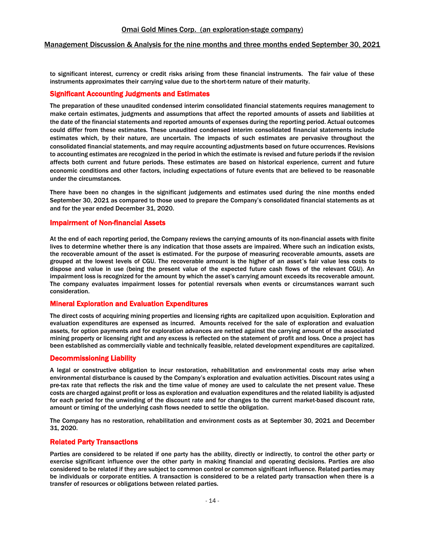## Management Discussion & Analysis for the nine months and three months ended September 30, 2021

to significant interest, currency or credit risks arising from these financial instruments. The fair value of these instruments approximates their carrying value due to the short-term nature of their maturity.

## Significant Accounting Judgments and Estimates

The preparation of these unaudited condensed interim consolidated financial statements requires management to make certain estimates, judgments and assumptions that affect the reported amounts of assets and liabilities at the date of the financial statements and reported amounts of expenses during the reporting period. Actual outcomes could differ from these estimates. These unaudited condensed interim consolidated financial statements include estimates which, by their nature, are uncertain. The impacts of such estimates are pervasive throughout the consolidated financial statements, and may require accounting adjustments based on future occurrences. Revisions to accounting estimates are recognized in the period in which the estimate is revised and future periods if the revision affects both current and future periods. These estimates are based on historical experience, current and future economic conditions and other factors, including expectations of future events that are believed to be reasonable under the circumstances.

There have been no changes in the significant judgements and estimates used during the nine months ended September 30, 2021 as compared to those used to prepare the Company's consolidated financial statements as at and for the year ended December 31, 2020.

## Impairment of Non-financial Assets

At the end of each reporting period, the Company reviews the carrying amounts of its non-financial assets with finite lives to determine whether there is any indication that those assets are impaired. Where such an indication exists, the recoverable amount of the asset is estimated. For the purpose of measuring recoverable amounts, assets are grouped at the lowest levels of CGU. The recoverable amount is the higher of an asset's fair value less costs to dispose and value in use (being the present value of the expected future cash flows of the relevant CGU). An impairment loss is recognized for the amount by which the asset's carrying amount exceeds its recoverable amount. The company evaluates impairment losses for potential reversals when events or circumstances warrant such consideration.

## Mineral Exploration and Evaluation Expenditures

The direct costs of acquiring mining properties and licensing rights are capitalized upon acquisition. Exploration and evaluation expenditures are expensed as incurred. Amounts received for the sale of exploration and evaluation assets, for option payments and for exploration advances are netted against the carrying amount of the associated mining property or licensing right and any excess is reflected on the statement of profit and loss. Once a project has been established as commercially viable and technically feasible, related development expenditures are capitalized.

## Decommissioning Liability

A legal or constructive obligation to incur restoration, rehabilitation and environmental costs may arise when environmental disturbance is caused by the Company's exploration and evaluation activities. Discount rates using a pre-tax rate that reflects the risk and the time value of money are used to calculate the net present value. These costs are charged against profit or loss as exploration and evaluation expenditures and the related liability is adjusted for each period for the unwinding of the discount rate and for changes to the current market-based discount rate, amount or timing of the underlying cash flows needed to settle the obligation.

The Company has no restoration, rehabilitation and environment costs as at September 30, 2021 and December 31, 2020.

## Related Party Transactions

Parties are considered to be related if one party has the ability, directly or indirectly, to control the other party or exercise significant influence over the other party in making financial and operating decisions. Parties are also considered to be related if they are subject to common control or common significant influence. Related parties may be individuals or corporate entities. A transaction is considered to be a related party transaction when there is a transfer of resources or obligations between related parties.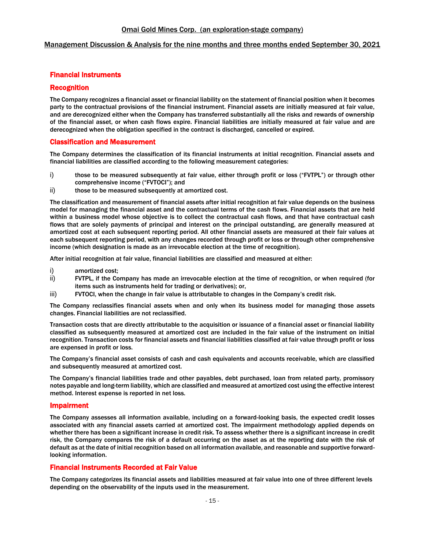## Management Discussion & Analysis for the nine months and three months ended September 30, 2021

# Financial Instruments

## Recognition

The Company recognizes a financial asset or financial liability on the statement of financial position when it becomes party to the contractual provisions of the financial instrument. Financial assets are initially measured at fair value, and are derecognized either when the Company has transferred substantially all the risks and rewards of ownership of the financial asset, or when cash flows expire. Financial liabilities are initially measured at fair value and are derecognized when the obligation specified in the contract is discharged, cancelled or expired.

## Classification and Measurement

The Company determines the classification of its financial instruments at initial recognition. Financial assets and financial liabilities are classified according to the following measurement categories:

- i) those to be measured subsequently at fair value, either through profit or loss ("FVTPL") or through other comprehensive income ("FVTOCI"); and
- ii) those to be measured subsequently at amortized cost.

The classification and measurement of financial assets after initial recognition at fair value depends on the business model for managing the financial asset and the contractual terms of the cash flows. Financial assets that are held within a business model whose objective is to collect the contractual cash flows, and that have contractual cash flows that are solely payments of principal and interest on the principal outstanding, are generally measured at amortized cost at each subsequent reporting period. All other financial assets are measured at their fair values at each subsequent reporting period, with any changes recorded through profit or loss or through other comprehensive income (which designation is made as an irrevocable election at the time of recognition).

After initial recognition at fair value, financial liabilities are classified and measured at either:

- i) amortized cost;
- ii) FVTPL, if the Company has made an irrevocable election at the time of recognition, or when required (for items such as instruments held for trading or derivatives); or,
- iii) FVTOCI, when the change in fair value is attributable to changes in the Company's credit risk.

The Company reclassifies financial assets when and only when its business model for managing those assets changes. Financial liabilities are not reclassified.

Transaction costs that are directly attributable to the acquisition or issuance of a financial asset or financial liability classified as subsequently measured at amortized cost are included in the fair value of the instrument on initial recognition. Transaction costs for financial assets and financial liabilities classified at fair value through profit or loss are expensed in profit or loss.

The Company's financial asset consists of cash and cash equivalents and accounts receivable, which are classified and subsequently measured at amortized cost.

The Company's financial liabilities trade and other payables, debt purchased, loan from related party, promissory notes payable and long-term liability, which are classified and measured at amortized cost using the effective interest method. Interest expense is reported in net loss.

## Impairment

The Company assesses all information available, including on a forward-looking basis, the expected credit losses associated with any financial assets carried at amortized cost. The impairment methodology applied depends on whether there has been a significant increase in credit risk. To assess whether there is a significant increase in credit risk, the Company compares the risk of a default occurring on the asset as at the reporting date with the risk of default as at the date of initial recognition based on all information available, and reasonable and supportive forwardlooking information.

# Financial Instruments Recorded at Fair Value

The Company categorizes its financial assets and liabilities measured at fair value into one of three different levels depending on the observability of the inputs used in the measurement.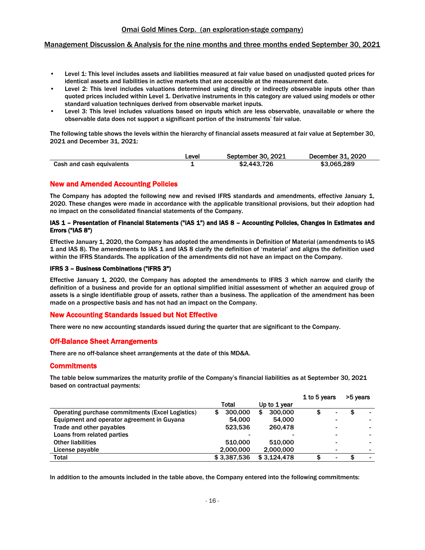## Management Discussion & Analysis for the nine months and three months ended September 30, 2021

- Level 1: This level includes assets and liabilities measured at fair value based on unadjusted quoted prices for identical assets and liabilities in active markets that are accessible at the measurement date.
- Level 2: This level includes valuations determined using directly or indirectly observable inputs other than quoted prices included within Level 1. Derivative instruments in this category are valued using models or other standard valuation techniques derived from observable market inputs.
- Level 3: This level includes valuations based on inputs which are less observable, unavailable or where the observable data does not support a significant portion of the instruments' fair value.

The following table shows the levels within the hierarchy of financial assets measured at fair value at September 30, 2021 and December 31, 2021:

|                           | ∟evel | September 30, 2021 | December 31, 2020 |
|---------------------------|-------|--------------------|-------------------|
| Cash and cash equivalents |       | \$2,443,726        | \$3,065,289       |

## New and Amended Accounting Policies

The Company has adopted the following new and revised IFRS standards and amendments, effective January 1, 2020. These changes were made in accordance with the applicable transitional provisions, but their adoption had no impact on the consolidated financial statements of the Company.

## IAS 1 – Presentation of Financial Statements ("IAS 1") and IAS 8 – Accounting Policies, Changes in Estimates and Errors ("IAS 8")

Effective January 1, 2020, the Company has adopted the amendments in Definition of Material (amendments to IAS 1 and IAS 8). The amendments to IAS 1 and IAS 8 clarify the definition of 'material' and aligns the definition used within the IFRS Standards. The application of the amendments did not have an impact on the Company.

#### IFRS 3 – Business Combinations ("IFRS 3")

Effective January 1, 2020, the Company has adopted the amendments to IFRS 3 which narrow and clarify the definition of a business and provide for an optional simplified initial assessment of whether an acquired group of assets is a single identifiable group of assets, rather than a business. The application of the amendment has been made on a prospective basis and has not had an impact on the Company.

## New Accounting Standards Issued but Not Effective

There were no new accounting standards issued during the quarter that are significant to the Company.

# Off-Balance Sheet Arrangements

There are no off-balance sheet arrangements at the date of this MD&A.

## **Commitments**

The table below summarizes the maturity profile of the Company's financial liabilities as at September 30, 2021 based on contractual payments:

|                                                  |              | 1 to 5 years  | >5 years |  |  |
|--------------------------------------------------|--------------|---------------|----------|--|--|
|                                                  | Total        | Up to 1 year  |          |  |  |
| Operating purchase commitments (Excel Logistics) | 300,000<br>S | 300,000<br>\$ | \$<br>۰  |  |  |
| Equipment and operator agreement in Guyana       | 54.000       | 54,000        |          |  |  |
| Trade and other payables                         | 523.536      | 260.478       |          |  |  |
| Loans from related parties                       |              |               |          |  |  |
| <b>Other liabilities</b>                         | 510.000      | 510.000       |          |  |  |
| License payable                                  | 2,000,000    | 2,000,000     |          |  |  |
| Total                                            | \$3,387,536  | \$3.124.478   | \$       |  |  |

In addition to the amounts included in the table above, the Company entered into the following commitments: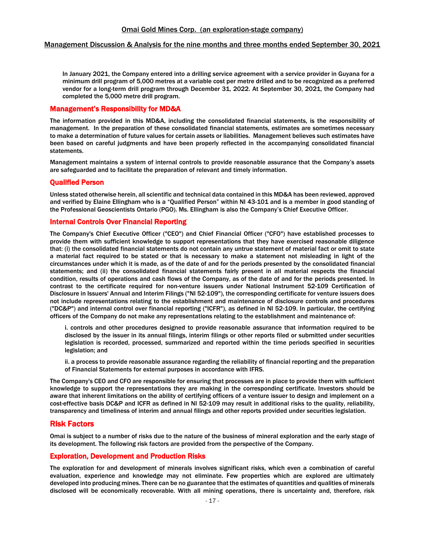#### Management Discussion & Analysis for the nine months and three months ended September 30, 2021

In January 2021, the Company entered into a drilling service agreement with a service provider in Guyana for a minimum drill program of 5,000 metres at a variable cost per metre drilled and to be recognized as a preferred vendor for a long-term drill program through December 31, 2022. At September 30, 2021, the Company had completed the 5,000 metre drill program.

## Management's Responsibility for MD&A

The information provided in this MD&A, including the consolidated financial statements, is the responsibility of management. In the preparation of these consolidated financial statements, estimates are sometimes necessary to make a determination of future values for certain assets or liabilities. Management believes such estimates have been based on careful judgments and have been properly reflected in the accompanying consolidated financial statements.

Management maintains a system of internal controls to provide reasonable assurance that the Company's assets are safeguarded and to facilitate the preparation of relevant and timely information.

## Qualified Person

Unless stated otherwise herein, all scientific and technical data contained in this MD&A has been reviewed, approved and verified by Elaine Ellingham who is a "Qualified Person" within NI 43-101 and is a member in good standing of the Professional Geoscientists Ontario (PGO). Ms. Ellingham is also the Company's Chief Executive Officer.

## Internal Controls Over Financial Reporting

The Company's Chief Executive Officer ("CEO") and Chief Financial Officer ("CFO") have established processes to provide them with sufficient knowledge to support representations that they have exercised reasonable diligence that: (i) the consolidated financial statements do not contain any untrue statement of material fact or omit to state a material fact required to be stated or that is necessary to make a statement not misleading in light of the circumstances under which it is made, as of the date of and for the periods presented by the consolidated financial statements; and (ii) the consolidated financial statements fairly present in all material respects the financial condition, results of operations and cash flows of the Company, as of the date of and for the periods presented. In contrast to the certificate required for non-venture issuers under National Instrument 52-109 Certification of Disclosure in Issuers' Annual and Interim Filings ("NI 52-109"), the corresponding certificate for venture issuers does not include representations relating to the establishment and maintenance of disclosure controls and procedures ("DC&P") and internal control over financial reporting ("ICFR"), as defined in NI 52-109. In particular, the certifying officers of the Company do not make any representations relating to the establishment and maintenance of:

i. controls and other procedures designed to provide reasonable assurance that information required to be disclosed by the issuer in its annual filings, interim filings or other reports filed or submitted under securities legislation is recorded, processed, summarized and reported within the time periods specified in securities legislation; and

ii. a process to provide reasonable assurance regarding the reliability of financial reporting and the preparation of Financial Statements for external purposes in accordance with IFRS.

The Company's CEO and CFO are responsible for ensuring that processes are in place to provide them with sufficient knowledge to support the representations they are making in the corresponding certificate. Investors should be aware that inherent limitations on the ability of certifying officers of a venture issuer to design and implement on a cost-effective basis DC&P and ICFR as defined in NI 52-109 may result in additional risks to the quality, reliability, transparency and timeliness of interim and annual filings and other reports provided under securities legislation.

## Risk Factors

Omai is subject to a number of risks due to the nature of the business of mineral exploration and the early stage of its development. The following risk factors are provided from the perspective of the Company.

## Exploration, Development and Production Risks

The exploration for and development of minerals involves significant risks, which even a combination of careful evaluation, experience and knowledge may not eliminate. Few properties which are explored are ultimately developed into producing mines. There can be no guarantee that the estimates of quantities and qualities of minerals disclosed will be economically recoverable. With all mining operations, there is uncertainty and, therefore, risk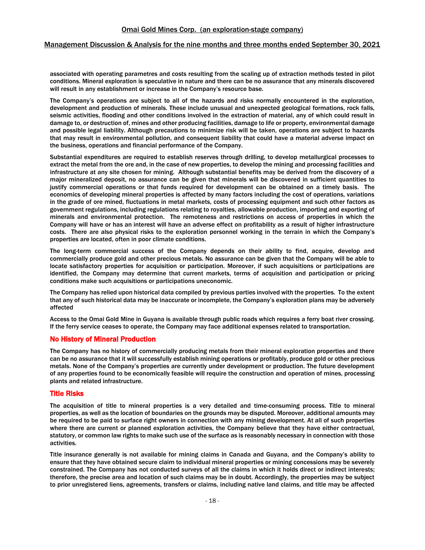#### Management Discussion & Analysis for the nine months and three months ended September 30, 2021

associated with operating parametres and costs resulting from the scaling up of extraction methods tested in pilot conditions. Mineral exploration is speculative in nature and there can be no assurance that any minerals discovered will result in any establishment or increase in the Company's resource base.

The Company's operations are subject to all of the hazards and risks normally encountered in the exploration, development and production of minerals. These include unusual and unexpected geological formations, rock falls, seismic activities, flooding and other conditions involved in the extraction of material, any of which could result in damage to, or destruction of, mines and other producing facilities, damage to life or property, environmental damage and possible legal liability. Although precautions to minimize risk will be taken, operations are subject to hazards that may result in environmental pollution, and consequent liability that could have a material adverse impact on the business, operations and financial performance of the Company.

Substantial expenditures are required to establish reserves through drilling, to develop metallurgical processes to extract the metal from the ore and, in the case of new properties, to develop the mining and processing facilities and infrastructure at any site chosen for mining. Although substantial benefits may be derived from the discovery of a major mineralized deposit, no assurance can be given that minerals will be discovered in sufficient quantities to justify commercial operations or that funds required for development can be obtained on a timely basis. The economics of developing mineral properties is affected by many factors including the cost of operations, variations in the grade of ore mined, fluctuations in metal markets, costs of processing equipment and such other factors as government regulations, including regulations relating to royalties, allowable production, importing and exporting of minerals and environmental protection. The remoteness and restrictions on access of properties in which the Company will have or has an interest will have an adverse effect on profitability as a result of higher infrastructure costs. There are also physical risks to the exploration personnel working in the terrain in which the Company's properties are located, often in poor climate conditions.

The long-term commercial success of the Company depends on their ability to find, acquire, develop and commercially produce gold and other precious metals. No assurance can be given that the Company will be able to locate satisfactory properties for acquisition or participation. Moreover, if such acquisitions or participations are identified, the Company may determine that current markets, terms of acquisition and participation or pricing conditions make such acquisitions or participations uneconomic.

The Company has relied upon historical data compiled by previous parties involved with the properties. To the extent that any of such historical data may be inaccurate or incomplete, the Company's exploration plans may be adversely affected

Access to the Omai Gold Mine in Guyana is available through public roads which requires a ferry boat river crossing. If the ferry service ceases to operate, the Company may face additional expenses related to transportation.

## No History of Mineral Production

The Company has no history of commercially producing metals from their mineral exploration properties and there can be no assurance that it will successfully establish mining operations or profitably, produce gold or other precious metals. None of the Company's properties are currently under development or production. The future development of any properties found to be economically feasible will require the construction and operation of mines, processing plants and related infrastructure.

## Title Risks

The acquisition of title to mineral properties is a very detailed and time-consuming process. Title to mineral properties, as well as the location of boundaries on the grounds may be disputed. Moreover, additional amounts may be required to be paid to surface right owners in connection with any mining development. At all of such properties where there are current or planned exploration activities, the Company believe that they have either contractual, statutory, or common law rights to make such use of the surface as is reasonably necessary in connection with those activities.

Title insurance generally is not available for mining claims in Canada and Guyana, and the Company's ability to ensure that they have obtained secure claim to individual mineral properties or mining concessions may be severely constrained. The Company has not conducted surveys of all the claims in which it holds direct or indirect interests; therefore, the precise area and location of such claims may be in doubt. Accordingly, the properties may be subject to prior unregistered liens, agreements, transfers or claims, including native land claims, and title may be affected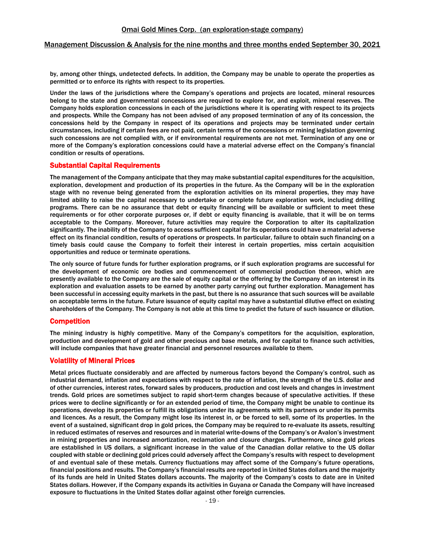by, among other things, undetected defects. In addition, the Company may be unable to operate the properties as permitted or to enforce its rights with respect to its properties.

Under the laws of the jurisdictions where the Company's operations and projects are located, mineral resources belong to the state and governmental concessions are required to explore for, and exploit, mineral reserves. The Company holds exploration concessions in each of the jurisdictions where it is operating with respect to its projects and prospects. While the Company has not been advised of any proposed termination of any of its concession, the concessions held by the Company in respect of its operations and projects may be terminated under certain circumstances, including if certain fees are not paid, certain terms of the concessions or mining legislation governing such concessions are not complied with, or if environmental requirements are not met. Termination of any one or more of the Company's exploration concessions could have a material adverse effect on the Company's financial condition or results of operations.

## Substantial Capital Requirements

The management of the Company anticipate that they may make substantial capital expenditures for the acquisition, exploration, development and production of its properties in the future. As the Company will be in the exploration stage with no revenue being generated from the exploration activities on its mineral properties, they may have limited ability to raise the capital necessary to undertake or complete future exploration work, including drilling programs. There can be no assurance that debt or equity financing will be available or sufficient to meet these requirements or for other corporate purposes or, if debt or equity financing is available, that it will be on terms acceptable to the Company. Moreover, future activities may require the Corporation to alter its capitalization significantly. The inability of the Company to access sufficient capital for its operations could have a material adverse effect on its financial condition, results of operations or prospects. In particular, failure to obtain such financing on a timely basis could cause the Company to forfeit their interest in certain properties, miss certain acquisition opportunities and reduce or terminate operations.

The only source of future funds for further exploration programs, or if such exploration programs are successful for the development of economic ore bodies and commencement of commercial production thereon, which are presently available to the Company are the sale of equity capital or the offering by the Company of an interest in its exploration and evaluation assets to be earned by another party carrying out further exploration. Management has been successful in accessing equity markets in the past, but there is no assurance that such sources will be available on acceptable terms in the future. Future issuance of equity capital may have a substantial dilutive effect on existing shareholders of the Company. The Company is not able at this time to predict the future of such issuance or dilution.

## **Competition**

The mining industry is highly competitive. Many of the Company's competitors for the acquisition, exploration, production and development of gold and other precious and base metals, and for capital to finance such activities, will include companies that have greater financial and personnel resources available to them.

## Volatility of Mineral Prices

Metal prices fluctuate considerably and are affected by numerous factors beyond the Company's control, such as industrial demand, inflation and expectations with respect to the rate of inflation, the strength of the U.S. dollar and of other currencies, interest rates, forward sales by producers, production and cost levels and changes in investment trends. Gold prices are sometimes subject to rapid short-term changes because of speculative activities. If these prices were to decline significantly or for an extended period of time, the Company might be unable to continue its operations, develop its properties or fulfill its obligations under its agreements with its partners or under its permits and licences. As a result, the Company might lose its interest in, or be forced to sell, some of its properties. In the event of a sustained, significant drop in gold prices, the Company may be required to re-evaluate its assets, resulting in reduced estimates of reserves and resources and in material write-downs of the Company's or Avalon's investment in mining properties and increased amortization, reclamation and closure charges. Furthermore, since gold prices are established in US dollars, a significant increase in the value of the Canadian dollar relative to the US dollar coupled with stable or declining gold prices could adversely affect the Company's results with respect to development of and eventual sale of these metals. Currency fluctuations may affect some of the Company's future operations, financial positions and results. The Company's financial results are reported in United States dollars and the majority of its funds are held in United States dollars accounts. The majority of the Company's costs to date are in United States dollars. However, if the Company expands its activities in Guyana or Canada the Company will have increased exposure to fluctuations in the United States dollar against other foreign currencies.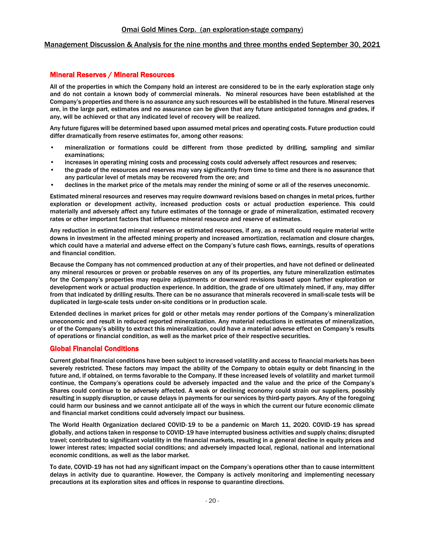## Management Discussion & Analysis for the nine months and three months ended September 30, 2021

## Mineral Reserves / Mineral Resources

All of the properties in which the Company hold an interest are considered to be in the early exploration stage only and do not contain a known body of commercial minerals. No mineral resources have been established at the Company's properties and there is no assurance any such resources will be established in the future. Mineral reserves are, in the large part, estimates and no assurance can be given that any future anticipated tonnages and grades, if any, will be achieved or that any indicated level of recovery will be realized.

Any future figures will be determined based upon assumed metal prices and operating costs. Future production could differ dramatically from reserve estimates for, among other reasons:

- mineralization or formations could be different from those predicted by drilling, sampling and similar examinations;
- increases in operating mining costs and processing costs could adversely affect resources and reserves;
- the grade of the resources and reserves may vary significantly from time to time and there is no assurance that any particular level of metals may be recovered from the ore; and
- declines in the market price of the metals may render the mining of some or all of the reserves uneconomic.

Estimated mineral resources and reserves may require downward revisions based on changes in metal prices, further exploration or development activity, increased production costs or actual production experience. This could materially and adversely affect any future estimates of the tonnage or grade of mineralization, estimated recovery rates or other important factors that influence mineral resource and reserve of estimates.

Any reduction in estimated mineral reserves or estimated resources, if any, as a result could require material write downs in investment in the affected mining property and increased amortization, reclamation and closure charges, which could have a material and adverse effect on the Company's future cash flows, earnings, results of operations and financial condition.

Because the Company has not commenced production at any of their properties, and have not defined or delineated any mineral resources or proven or probable reserves on any of its properties, any future mineralization estimates for the Company's properties may require adjustments or downward revisions based upon further exploration or development work or actual production experience. In addition, the grade of ore ultimately mined, if any, may differ from that indicated by drilling results. There can be no assurance that minerals recovered in small-scale tests will be duplicated in large-scale tests under on-site conditions or in production scale.

Extended declines in market prices for gold or other metals may render portions of the Company's mineralization uneconomic and result in reduced reported mineralization. Any material reductions in estimates of mineralization, or of the Company's ability to extract this mineralization, could have a material adverse effect on Company's results of operations or financial condition, as well as the market price of their respective securities.

# Global Financial Conditions

Current global financial conditions have been subject to increased volatility and access to financial markets has been severely restricted. These factors may impact the ability of the Company to obtain equity or debt financing in the future and, if obtained, on terms favorable to the Company. If these increased levels of volatility and market turmoil continue, the Company's operations could be adversely impacted and the value and the price of the Company's Shares could continue to be adversely affected. A weak or declining economy could strain our suppliers, possibly resulting in supply disruption, or cause delays in payments for our services by third-party payors. Any of the foregoing could harm our business and we cannot anticipate all of the ways in which the current our future economic climate and financial market conditions could adversely impact our business.

The World Health Organization declared COVID‐19 to be a pandemic on March 11, 2020. COVID‐19 has spread globally, and actions taken in response to COVID‐19 have interrupted business activities and supply chains; disrupted travel; contributed to significant volatility in the financial markets, resulting in a general decline in equity prices and lower interest rates; impacted social conditions; and adversely impacted local, regional, national and international economic conditions, as well as the labor market.

To date, COVID‐19 has not had any significant impact on the Company's operations other than to cause intermittent delays in activity due to quarantine. However, the Company is actively monitoring and implementing necessary precautions at its exploration sites and offices in response to quarantine directions.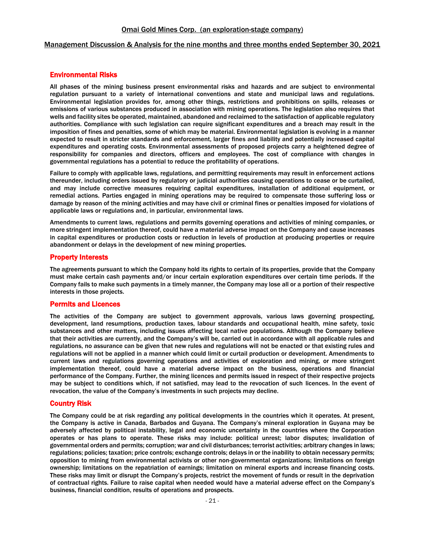#### Management Discussion & Analysis for the nine months and three months ended September 30, 2021

# Environmental Risks

All phases of the mining business present environmental risks and hazards and are subject to environmental regulation pursuant to a variety of international conventions and state and municipal laws and regulations. Environmental legislation provides for, among other things, restrictions and prohibitions on spills, releases or emissions of various substances produced in association with mining operations. The legislation also requires that wells and facility sites be operated, maintained, abandoned and reclaimed to the satisfaction of applicable regulatory authorities. Compliance with such legislation can require significant expenditures and a breach may result in the imposition of fines and penalties, some of which may be material. Environmental legislation is evolving in a manner expected to result in stricter standards and enforcement, larger fines and liability and potentially increased capital expenditures and operating costs. Environmental assessments of proposed projects carry a heightened degree of responsibility for companies and directors, officers and employees. The cost of compliance with changes in governmental regulations has a potential to reduce the profitability of operations.

Failure to comply with applicable laws, regulations, and permitting requirements may result in enforcement actions thereunder, including orders issued by regulatory or judicial authorities causing operations to cease or be curtailed, and may include corrective measures requiring capital expenditures, installation of additional equipment, or remedial actions. Parties engaged in mining operations may be required to compensate those suffering loss or damage by reason of the mining activities and may have civil or criminal fines or penalties imposed for violations of applicable laws or regulations and, in particular, environmental laws.

Amendments to current laws, regulations and permits governing operations and activities of mining companies, or more stringent implementation thereof, could have a material adverse impact on the Company and cause increases in capital expenditures or production costs or reduction in levels of production at producing properties or require abandonment or delays in the development of new mining properties.

## Property Interests

The agreements pursuant to which the Company hold its rights to certain of its properties, provide that the Company must make certain cash payments and/or incur certain exploration expenditures over certain time periods. If the Company fails to make such payments in a timely manner, the Company may lose all or a portion of their respective interests in those projects.

## Permits and Licences

The activities of the Company are subject to government approvals, various laws governing prospecting, development, land resumptions, production taxes, labour standards and occupational health, mine safety, toxic substances and other matters, including issues affecting local native populations. Although the Company believe that their activities are currently, and the Company's will be, carried out in accordance with all applicable rules and regulations, no assurance can be given that new rules and regulations will not be enacted or that existing rules and regulations will not be applied in a manner which could limit or curtail production or development. Amendments to current laws and regulations governing operations and activities of exploration and mining, or more stringent implementation thereof, could have a material adverse impact on the business, operations and financial performance of the Company. Further, the mining licences and permits issued in respect of their respective projects may be subject to conditions which, if not satisfied, may lead to the revocation of such licences. In the event of revocation, the value of the Company's investments in such projects may decline.

# Country Risk

The Company could be at risk regarding any political developments in the countries which it operates. At present, the Company is active in Canada, Barbados and Guyana. The Company's mineral exploration in Guyana may be adversely affected by political instability, legal and economic uncertainty in the countries where the Corporation operates or has plans to operate. These risks may include: political unrest; labor disputes; invalidation of governmental orders and permits; corruption; war and civil disturbances; terrorist activities; arbitrary changes in laws; regulations; policies; taxation; price controls; exchange controls; delays in or the inability to obtain necessary permits; opposition to mining from environmental activists or other non-governmental organizations; limitations on foreign ownership; limitations on the repatriation of earnings; limitation on mineral exports and increase financing costs. These risks may limit or disrupt the Company's projects, restrict the movement of funds or result in the deprivation of contractual rights. Failure to raise capital when needed would have a material adverse effect on the Company's business, financial condition, results of operations and prospects.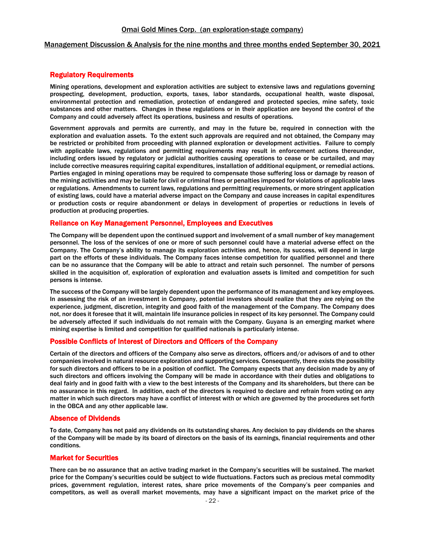#### Management Discussion & Analysis for the nine months and three months ended September 30, 2021

## Regulatory Requirements

Mining operations, development and exploration activities are subject to extensive laws and regulations governing prospecting, development, production, exports, taxes, labor standards, occupational health, waste disposal, environmental protection and remediation, protection of endangered and protected species, mine safety, toxic substances and other matters. Changes in these regulations or in their application are beyond the control of the Company and could adversely affect its operations, business and results of operations.

Government approvals and permits are currently, and may in the future be, required in connection with the exploration and evaluation assets. To the extent such approvals are required and not obtained, the Company may be restricted or prohibited from proceeding with planned exploration or development activities. Failure to comply with applicable laws, regulations and permitting requirements may result in enforcement actions thereunder, including orders issued by regulatory or judicial authorities causing operations to cease or be curtailed, and may include corrective measures requiring capital expenditures, installation of additional equipment, or remedial actions. Parties engaged in mining operations may be required to compensate those suffering loss or damage by reason of the mining activities and may be liable for civil or criminal fines or penalties imposed for violations of applicable laws or regulations. Amendments to current laws, regulations and permitting requirements, or more stringent application of existing laws, could have a material adverse impact on the Company and cause increases in capital expenditures or production costs or require abandonment or delays in development of properties or reductions in levels of production at producing properties.

## Reliance on Key Management Personnel, Employees and Executives

The Company will be dependent upon the continued support and involvement of a small number of key management personnel. The loss of the services of one or more of such personnel could have a material adverse effect on the Company. The Company's ability to manage its exploration activities and, hence, its success, will depend in large part on the efforts of these individuals. The Company faces intense competition for qualified personnel and there can be no assurance that the Company will be able to attract and retain such personnel. The number of persons skilled in the acquisition of, exploration of exploration and evaluation assets is limited and competition for such persons is intense.

The success of the Company will be largely dependent upon the performance of its management and key employees. In assessing the risk of an investment in Company, potential investors should realize that they are relying on the experience, judgment, discretion, integrity and good faith of the management of the Company. The Company does not, nor does it foresee that it will, maintain life insurance policies in respect of its key personnel. The Company could be adversely affected if such individuals do not remain with the Company. Guyana is an emerging market where mining expertise is limited and competition for qualified nationals is particularly intense.

## Possible Conflicts of Interest of Directors and Officers of the Company

Certain of the directors and officers of the Company also serve as directors, officers and/or advisors of and to other companies involved in natural resource exploration and supporting services. Consequently, there exists the possibility for such directors and officers to be in a position of conflict. The Company expects that any decision made by any of such directors and officers involving the Company will be made in accordance with their duties and obligations to deal fairly and in good faith with a view to the best interests of the Company and its shareholders, but there can be no assurance in this regard. In addition, each of the directors is required to declare and refrain from voting on any matter in which such directors may have a conflict of interest with or which are governed by the procedures set forth in the OBCA and any other applicable law.

## Absence of Dividends

To date, Company has not paid any dividends on its outstanding shares. Any decision to pay dividends on the shares of the Company will be made by its board of directors on the basis of its earnings, financial requirements and other conditions.

## Market for Securities

There can be no assurance that an active trading market in the Company's securities will be sustained. The market price for the Company's securities could be subject to wide fluctuations. Factors such as precious metal commodity prices, government regulation, interest rates, share price movements of the Company's peer companies and competitors, as well as overall market movements, may have a significant impact on the market price of the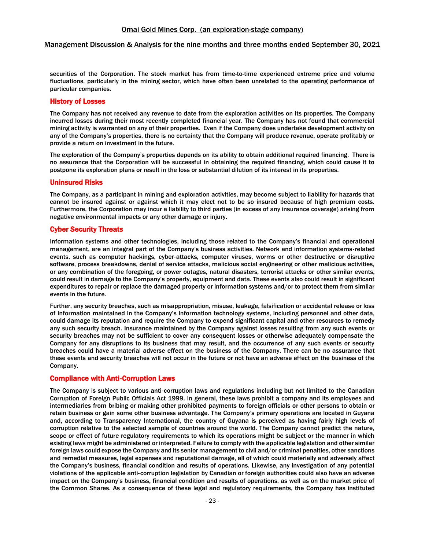securities of the Corporation. The stock market has from time-to-time experienced extreme price and volume fluctuations, particularly in the mining sector, which have often been unrelated to the operating performance of particular companies.

## History of Losses

The Company has not received any revenue to date from the exploration activities on its properties. The Company incurred losses during their most recently completed financial year. The Company has not found that commercial mining activity is warranted on any of their properties. Even if the Company does undertake development activity on any of the Company's properties, there is no certainty that the Company will produce revenue, operate profitably or provide a return on investment in the future.

The exploration of the Company's properties depends on its ability to obtain additional required financing. There is no assurance that the Corporation will be successful in obtaining the required financing, which could cause it to postpone its exploration plans or result in the loss or substantial dilution of its interest in its properties.

#### Uninsured Risks

The Company, as a participant in mining and exploration activities, may become subject to liability for hazards that cannot be insured against or against which it may elect not to be so insured because of high premium costs. Furthermore, the Corporation may incur a liability to third parties (in excess of any insurance coverage) arising from negative environmental impacts or any other damage or injury.

## Cyber Security Threats

Information systems and other technologies, including those related to the Company's financial and operational management, are an integral part of the Company's business activities. Network and information systems‐related events, such as computer hackings, cyber‐attacks, computer viruses, worms or other destructive or disruptive software, process breakdowns, denial of service attacks, malicious social engineering or other malicious activities, or any combination of the foregoing, or power outages, natural disasters, terrorist attacks or other similar events, could result in damage to the Company's property, equipment and data. These events also could result in significant expenditures to repair or replace the damaged property or information systems and/or to protect them from similar events in the future.

Further, any security breaches, such as misappropriation, misuse, leakage, falsification or accidental release or loss of information maintained in the Company's information technology systems, including personnel and other data, could damage its reputation and require the Company to expend significant capital and other resources to remedy any such security breach. Insurance maintained by the Company against losses resulting from any such events or security breaches may not be sufficient to cover any consequent losses or otherwise adequately compensate the Company for any disruptions to its business that may result, and the occurrence of any such events or security breaches could have a material adverse effect on the business of the Company. There can be no assurance that these events and security breaches will not occur in the future or not have an adverse effect on the business of the Company.

## Compliance with Anti‐Corruption Laws

The Company is subject to various anti‐corruption laws and regulations including but not limited to the Canadian Corruption of Foreign Public Officials Act 1999. In general, these laws prohibit a company and its employees and intermediaries from bribing or making other prohibited payments to foreign officials or other persons to obtain or retain business or gain some other business advantage. The Company's primary operations are located in Guyana and, according to Transparency International, the country of Guyana is perceived as having fairly high levels of corruption relative to the selected sample of countries around the world. The Company cannot predict the nature, scope or effect of future regulatory requirements to which its operations might be subject or the manner in which existing laws might be administered or interpreted. Failure to comply with the applicable legislation and other similar foreign laws could expose the Company and its senior management to civil and/or criminal penalties, other sanctions and remedial measures, legal expenses and reputational damage, all of which could materially and adversely affect the Company's business, financial condition and results of operations. Likewise, any investigation of any potential violations of the applicable anti‐corruption legislation by Canadian or foreign authorities could also have an adverse impact on the Company's business, financial condition and results of operations, as well as on the market price of the Common Shares. As a consequence of these legal and regulatory requirements, the Company has instituted